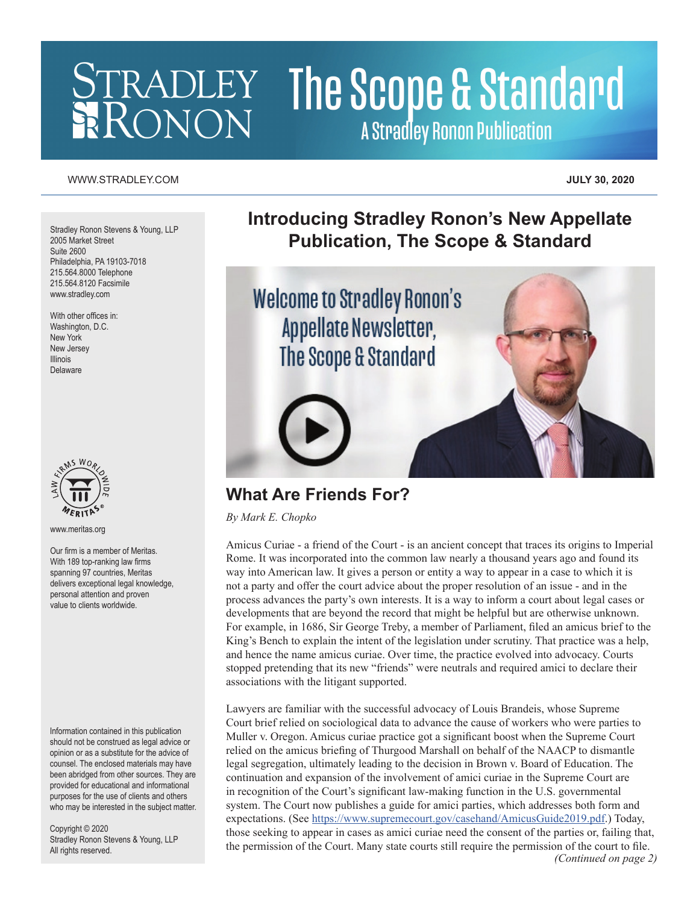# **STRADLEY The Scope & Standard A Stradley Ronon Publication**

#### [WWW.STRADLEY.COM](www.stradley.com) **JULY 30, 2020**

Stradley Ronon Stevens & Young, LLP 2005 Market Street Suite 2600 Philadelphia, PA 19103-7018 215.564.8000 Telephone 215.564.8120 Facsimile [www.stradley.com](http://www.stradley.com)

With other offices in: Washington, D.C. New York New Jersey Illinois Delaware



[www.meritas.org](http://www.meritas.org)

Our firm is a member of Meritas. With 189 top-ranking law firms spanning 97 countries, Meritas delivers exceptional legal knowledge, personal attention and proven value to clients worldwide.

Information contained in this publication should not be construed as legal advice or opinion or as a substitute for the advice of counsel. The enclosed materials may have been abridged from other sources. They are provided for educational and informational purposes for the use of clients and others who may be interested in the subject matter.

Copyright © 2020 Stradley Ronon Stevens & Young, LLP All rights reserved.

**Introducing Stradley Ronon's New Appellate Publication, The Scope & Standard**



## **What Are Friends For?**

*By Mark E. Chopko*

Amicus Curiae - a friend of the Court - is an ancient concept that traces its origins to Imperial Rome. It was incorporated into the common law nearly a thousand years ago and found its way into American law. It gives a person or entity a way to appear in a case to which it is not a party and offer the court advice about the proper resolution of an issue - and in the process advances the party's own interests. It is a way to inform a court about legal cases or developments that are beyond the record that might be helpful but are otherwise unknown. For example, in 1686, Sir George Treby, a member of Parliament, filed an amicus brief to the King's Bench to explain the intent of the legislation under scrutiny. That practice was a help, and hence the name amicus curiae. Over time, the practice evolved into advocacy. Courts stopped pretending that its new "friends" were neutrals and required amici to declare their associations with the litigant supported.

Lawyers are familiar with the successful advocacy of Louis Brandeis, whose Supreme Court brief relied on sociological data to advance the cause of workers who were parties to Muller v. Oregon. Amicus curiae practice got a significant boost when the Supreme Court relied on the amicus briefing of Thurgood Marshall on behalf of the NAACP to dismantle legal segregation, ultimately leading to the decision in Brown v. Board of Education. The continuation and expansion of the involvement of amici curiae in the Supreme Court are in recognition of the Court's significant law-making function in the U.S. governmental system. The Court now publishes a guide for amici parties, which addresses both form and expectations. (See<https://www.supremecourt.gov/casehand/AmicusGuide2019.pdf>.) Today, those seeking to appear in cases as amici curiae need the consent of the parties or, failing that, the permission of the Court. Many state courts still require the permission of the court to file. *(Continued on page 2)*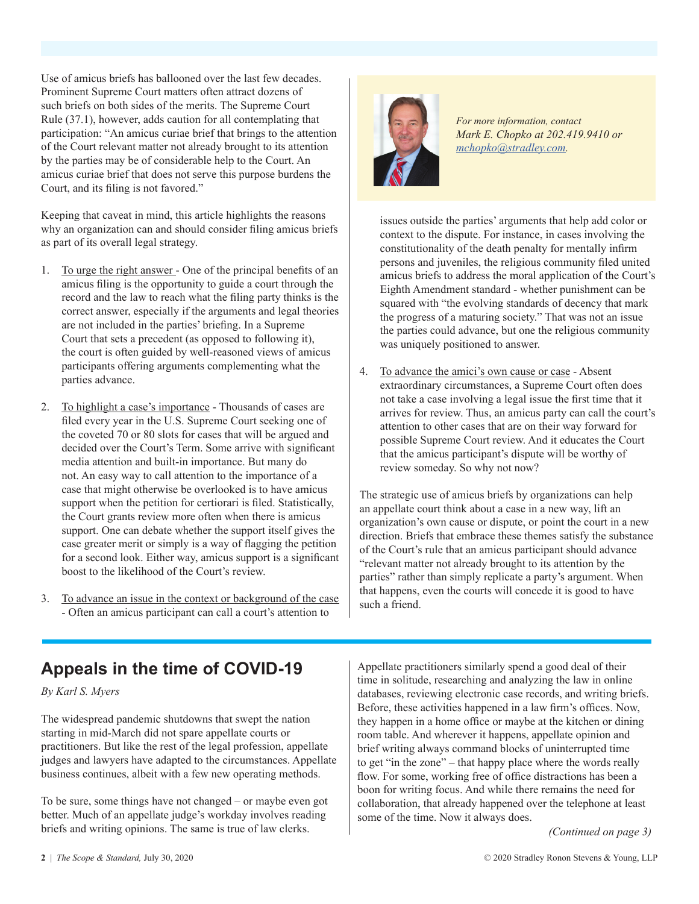Use of amicus briefs has ballooned over the last few decades. Prominent Supreme Court matters often attract dozens of such briefs on both sides of the merits. The Supreme Court Rule (37.1), however, adds caution for all contemplating that participation: "An amicus curiae brief that brings to the attention of the Court relevant matter not already brought to its attention by the parties may be of considerable help to the Court. An amicus curiae brief that does not serve this purpose burdens the Court, and its filing is not favored."

Keeping that caveat in mind, this article highlights the reasons why an organization can and should consider filing amicus briefs as part of its overall legal strategy.

- 1. To urge the right answer One of the principal benefits of an amicus filing is the opportunity to guide a court through the record and the law to reach what the filing party thinks is the correct answer, especially if the arguments and legal theories are not included in the parties' briefing. In a Supreme Court that sets a precedent (as opposed to following it), the court is often guided by well-reasoned views of amicus participants offering arguments complementing what the parties advance.
- 2. To highlight a case's importance Thousands of cases are filed every year in the U.S. Supreme Court seeking one of the coveted 70 or 80 slots for cases that will be argued and decided over the Court's Term. Some arrive with significant media attention and built-in importance. But many do not. An easy way to call attention to the importance of a case that might otherwise be overlooked is to have amicus support when the petition for certiorari is filed. Statistically, the Court grants review more often when there is amicus support. One can debate whether the support itself gives the case greater merit or simply is a way of flagging the petition for a second look. Either way, amicus support is a significant boost to the likelihood of the Court's review.
- 3. To advance an issue in the context or background of the case - Often an amicus participant can call a court's attention to



*For more information, contact Mark E. Chopko at 202.419.9410 or [mchopko@stradley.com.](mailto:mchopko%40stradley.com?subject=)*

issues outside the parties' arguments that help add color or context to the dispute. For instance, in cases involving the constitutionality of the death penalty for mentally infirm persons and juveniles, the religious community filed united amicus briefs to address the moral application of the Court's Eighth Amendment standard - whether punishment can be squared with "the evolving standards of decency that mark the progress of a maturing society." That was not an issue the parties could advance, but one the religious community was uniquely positioned to answer.

4. To advance the amici's own cause or case - Absent extraordinary circumstances, a Supreme Court often does not take a case involving a legal issue the first time that it arrives for review. Thus, an amicus party can call the court's attention to other cases that are on their way forward for possible Supreme Court review. And it educates the Court that the amicus participant's dispute will be worthy of review someday. So why not now?

The strategic use of amicus briefs by organizations can help an appellate court think about a case in a new way, lift an organization's own cause or dispute, or point the court in a new direction. Briefs that embrace these themes satisfy the substance of the Court's rule that an amicus participant should advance "relevant matter not already brought to its attention by the parties" rather than simply replicate a party's argument. When that happens, even the courts will concede it is good to have such a friend.

### **Appeals in the time of COVID-19**

*By Karl S. Myers*

The widespread pandemic shutdowns that swept the nation starting in mid-March did not spare appellate courts or practitioners. But like the rest of the legal profession, appellate judges and lawyers have adapted to the circumstances. Appellate business continues, albeit with a few new operating methods.

To be sure, some things have not changed – or maybe even got better. Much of an appellate judge's workday involves reading briefs and writing opinions. The same is true of law clerks.

Appellate practitioners similarly spend a good deal of their time in solitude, researching and analyzing the law in online databases, reviewing electronic case records, and writing briefs. Before, these activities happened in a law firm's offices. Now, they happen in a home office or maybe at the kitchen or dining room table. And wherever it happens, appellate opinion and brief writing always command blocks of uninterrupted time to get "in the zone" – that happy place where the words really flow. For some, working free of office distractions has been a boon for writing focus. And while there remains the need for collaboration, that already happened over the telephone at least some of the time. Now it always does.

*(Continued on page 3)*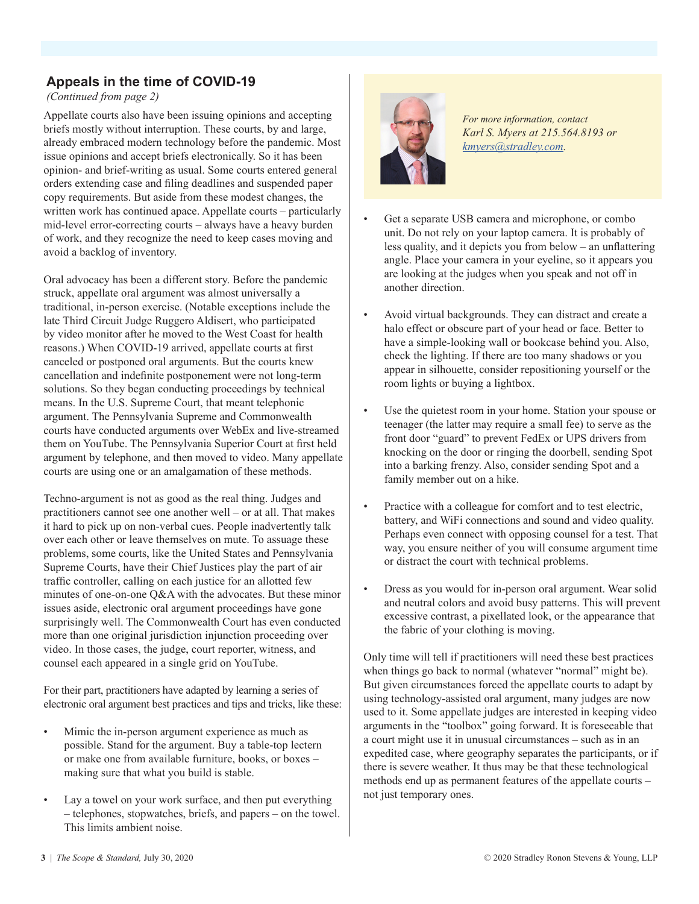#### **Appeals in the time of COVID-19**

*(Continued from page 2)*

Appellate courts also have been issuing opinions and accepting briefs mostly without interruption. These courts, by and large, already embraced modern technology before the pandemic. Most issue opinions and accept briefs electronically. So it has been opinion- and brief-writing as usual. Some courts entered general orders extending case and filing deadlines and suspended paper copy requirements. But aside from these modest changes, the written work has continued apace. Appellate courts – particularly mid-level error-correcting courts – always have a heavy burden of work, and they recognize the need to keep cases moving and avoid a backlog of inventory.

Oral advocacy has been a different story. Before the pandemic struck, appellate oral argument was almost universally a traditional, in-person exercise. (Notable exceptions include the late Third Circuit Judge Ruggero Aldisert, who participated by video monitor after he moved to the West Coast for health reasons.) When COVID-19 arrived, appellate courts at first canceled or postponed oral arguments. But the courts knew cancellation and indefinite postponement were not long-term solutions. So they began conducting proceedings by technical means. In the U.S. Supreme Court, that meant telephonic argument. The Pennsylvania Supreme and Commonwealth courts have conducted arguments over WebEx and live-streamed them on YouTube. The Pennsylvania Superior Court at first held argument by telephone, and then moved to video. Many appellate courts are using one or an amalgamation of these methods.

Techno-argument is not as good as the real thing. Judges and practitioners cannot see one another well – or at all. That makes it hard to pick up on non-verbal cues. People inadvertently talk over each other or leave themselves on mute. To assuage these problems, some courts, like the United States and Pennsylvania Supreme Courts, have their Chief Justices play the part of air traffic controller, calling on each justice for an allotted few minutes of one-on-one Q&A with the advocates. But these minor issues aside, electronic oral argument proceedings have gone surprisingly well. The Commonwealth Court has even conducted more than one original jurisdiction injunction proceeding over video. In those cases, the judge, court reporter, witness, and counsel each appeared in a single grid on YouTube.

For their part, practitioners have adapted by learning a series of electronic oral argument best practices and tips and tricks, like these:

- Mimic the in-person argument experience as much as possible. Stand for the argument. Buy a table-top lectern or make one from available furniture, books, or boxes – making sure that what you build is stable.
- Lay a towel on your work surface, and then put everything – telephones, stopwatches, briefs, and papers – on the towel. This limits ambient noise.



*For more information, contact Karl S. Myers at 215.564.8193 or [kmyers@stradley.com.](mailto:kmyers%40stradley.com?subject=)*

- Get a separate USB camera and microphone, or combo unit. Do not rely on your laptop camera. It is probably of less quality, and it depicts you from below – an unflattering angle. Place your camera in your eyeline, so it appears you are looking at the judges when you speak and not off in another direction.
- Avoid virtual backgrounds. They can distract and create a halo effect or obscure part of your head or face. Better to have a simple-looking wall or bookcase behind you. Also, check the lighting. If there are too many shadows or you appear in silhouette, consider repositioning yourself or the room lights or buying a lightbox.
- Use the quietest room in your home. Station your spouse or teenager (the latter may require a small fee) to serve as the front door "guard" to prevent FedEx or UPS drivers from knocking on the door or ringing the doorbell, sending Spot into a barking frenzy. Also, consider sending Spot and a family member out on a hike.
- Practice with a colleague for comfort and to test electric, battery, and WiFi connections and sound and video quality. Perhaps even connect with opposing counsel for a test. That way, you ensure neither of you will consume argument time or distract the court with technical problems.
- Dress as you would for in-person oral argument. Wear solid and neutral colors and avoid busy patterns. This will prevent excessive contrast, a pixellated look, or the appearance that the fabric of your clothing is moving.

Only time will tell if practitioners will need these best practices when things go back to normal (whatever "normal" might be). But given circumstances forced the appellate courts to adapt by using technology-assisted oral argument, many judges are now used to it. Some appellate judges are interested in keeping video arguments in the "toolbox" going forward. It is foreseeable that a court might use it in unusual circumstances – such as in an expedited case, where geography separates the participants, or if there is severe weather. It thus may be that these technological methods end up as permanent features of the appellate courts – not just temporary ones.